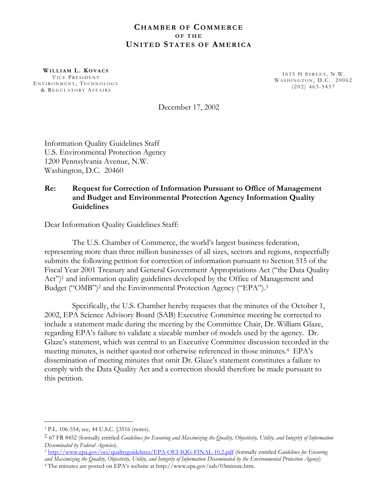### **CHAMBER OF COMMERCE OF THE UNITED STATES OF AMERICA**

**WILLIAM L. K OVACS** 1615 H S TREET , N.W. VICE P RESIDENT W ASHINGTON , D.C. 20062 <sup>E</sup> NVIRONMENT , T ECHNOLOGY (202) 463-5457 & R EGULATORY AFFAIRS

December 17, 2002

Information Quality Guidelines Staff U.S. Environmental Protection Agency 1200 Pennsylvania Avenue, N.W. Washington, D.C. 20460

### **Re: Request for Correction of Information Pursuant to Office of Management and Budget and Environmental Protection Agency Information Quality Guidelines**

Dear Information Quality Guidelines Staff:

The U.S. Chamber of Commerce, the world's largest business federation, representing more than three million businesses of all sizes, sectors and regions, respectfully submits the following petition for correction of information pursuant to Section 515 of the Fiscal Year 2001 Treasury and General Government Appropriations Act ("the Data Quality Act")<sup>1</sup> and information quality guidelines developed by the Office of Management and Budget ("OMB")<sup>2</sup> and the Environmental Protection Agency ("EPA").<sup>3</sup>

Specifically, the U.S. Chamber hereby requests that the minutes of the October 1, 2002, EPA Science Advisory Board (SAB) Executive Committee meeting be corrected to include a statement made during the meeting by the Committee Chair, Dr. William Glaze, regarding EPA's failure to validate a sizeable number of models used by the agency. Dr. Glaze's statement, which was central to an Executive Committee discussion recorded in the meeting minutes, is neither quoted nor otherwise referenced in those minutes.4 EPA's dissemination of meeting minutes that omit Dr. Glaze's statement constitutes a failure to comply with the Data Quality Act and a correction should therefore be made pursuant to this petition.

 $\overline{a}$ 

<sup>1</sup> P.L. 106-554; see, 44 U.S.C. §3516 (notes).

<sup>2 67</sup> FR 8452 (formally entitled *Guidelines for Ensuring and Maximizing the Quality, Objectivity, Utility, and Integrity of Information Disseminated by Federal Agencies*). 3 <http://www.epa.gov/oei/qualityguidelines/EPA-OEI-IQG-FINAL-10.2.pdf>(formally entitled *Guidelines for Ensuring*

*and Maximizing the Quality, Objectivity, Utility, and Integrity of Information Disseminated by the Environmental Protection Agency*) 4 The minutes are posted on EPA's website at [http://www.epa.gov/sab/03minute.htm.](http://www.epa.gov/sab/03minute.htm)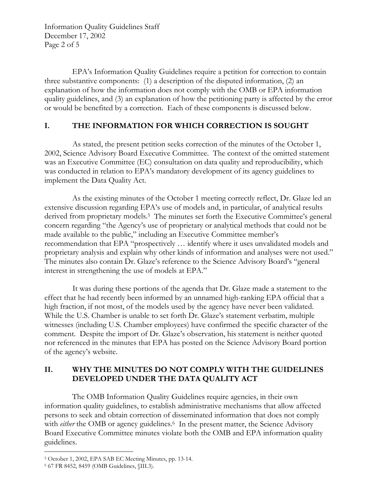Information Quality Guidelines Staff December 17, 2002 Page 2 of 5

EPA's Information Quality Guidelines require a petition for correction to contain three substantive components: (1) a description of the disputed information, (2) an explanation of how the information does not comply with the OMB or EPA information quality guidelines, and (3) an explanation of how the petitioning party is affected by the error or would be benefited by a correction. Each of these components is discussed below.

# **I. THE INFORMATION FOR WHICH CORRECTION IS SOUGHT**

As stated, the present petition seeks correction of the minutes of the October 1, 2002, Science Advisory Board Executive Committee. The context of the omitted statement was an Executive Committee (EC) consultation on data quality and reproducibility, which was conducted in relation to EPA's mandatory development of its agency guidelines to implement the Data Quality Act.

As the existing minutes of the October 1 meeting correctly reflect, Dr. Glaze led an extensive discussion regarding EPA's use of models and, in particular, of analytical results derived from proprietary models.<sup>5</sup> The minutes set forth the Executive Committee's general concern regarding "the Agency's use of proprietary or analytical methods that could not be made available to the public," including an Executive Committee member's recommendation that EPA "prospectively … identify where it uses unvalidated models and proprietary analysis and explain why other kinds of information and analyses were not used." The minutes also contain Dr. Glaze's reference to the Science Advisory Board's "general interest in strengthening the use of models at EPA."

It was during these portions of the agenda that Dr. Glaze made a statement to the effect that he had recently been informed by an unnamed high-ranking EPA official that a high fraction, if not most, of the models used by the agency have never been validated. While the U.S. Chamber is unable to set forth Dr. Glaze's statement verbatim, multiple witnesses (including U.S. Chamber employees) have confirmed the specific character of the comment. Despite the import of Dr. Glaze's observation, his statement is neither quoted nor referenced in the minutes that EPA has posted on the Science Advisory Board portion of the agency's website.

# **II. WHY THE MINUTES DO NOT COMPLY WITH THE GUIDELINES DEVELOPED UNDER THE DATA QUALITY ACT**

The OMB Information Quality Guidelines require agencies, in their own information quality guidelines, to establish administrative mechanisms that allow affected persons to seek and obtain correction of disseminated information that does not comply with *either* the OMB or agency guidelines.<sup>6</sup> In the present matter, the Science Advisory Board Executive Committee minutes violate both the OMB and EPA information quality guidelines.

 $\overline{a}$ 5 October 1, 2002, EPA SAB EC Meeting Minutes, pp. 13-14. 6 67 FR 8452, 8459 (OMB Guidelines, §III.3).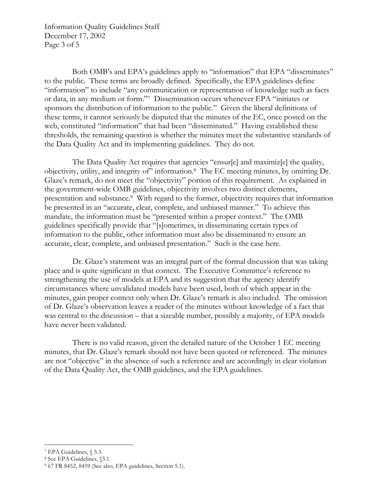Information Quality Guidelines Staff December 17, 2002 Page 3 of 5

Both OMB's and EPA's guidelines apply to "information" that EPA "disseminates" to the public. These terms are broadly defined. Specifically, the EPA guidelines define "information" to include "any communication or representation of knowledge such as facts or data, in any medium or form."7 Dissemination occurs whenever EPA "initiates or sponsors the distribution of information to the public." Given the liberal definitions of these terms, it cannot seriously be disputed that the minutes of the EC, once posted on the web, constituted "information" that had been "disseminated." Having established these thresholds, the remaining question is whether the minutes meet the substantive standards of the Data Quality Act and its implementing guidelines. They do not.

The Data Quality Act requires that agencies "ensur[e] and maximiz[e] the quality, objectivity, utility, and integrity of" information.8 The EC meeting minutes, by omitting Dr. Glaze's remark, do not meet the "objectivity" portion of this requirement. As explained in the government-wide OMB guidelines, objectivity involves two distinct elements, presentation and substance.9 With regard to the former, objectivity requires that information be presented in an "accurate, clear, complete, and unbiased manner." To achieve this mandate, the information must be "presented within a proper context." The OMB guidelines specifically provide that "[s]ometimes, in disseminating certain types of information to the public, other information must also be disseminated to ensure an accurate, clear, complete, and unbiased presentation." Such is the case here.

Dr. Glaze's statement was an integral part of the formal discussion that was taking place and is quite significant in that context. The Executive Committee's reference to strengthening the use of models at EPA and its suggestion that the agency identify circumstances where unvalidated models have been used, both of which appear in the minutes, gain proper context only when Dr. Glaze's remark is also included. The omission of Dr. Glaze's observation leaves a reader of the minutes without knowledge of a fact that was central to the discussion – that a sizeable number, possibly a majority, of EPA models have never been validated.

There is no valid reason, given the detailed nature of the October 1 EC meeting minutes, that Dr. Glaze's remark should not have been quoted or referenced. The minutes are not "objective" in the absence of such a reference and are accordingly in clear violation of the Data Quality Act, the OMB guidelines, and the EPA guidelines.

 $\overline{a}$ 

<sup>7</sup> EPA Guidelines, § 5.3.

<sup>8</sup> See EPA Guidelines, §5.1.

<sup>9 67</sup> FR 8452, 8459 (See also, EPA guidelines, Section 5.1).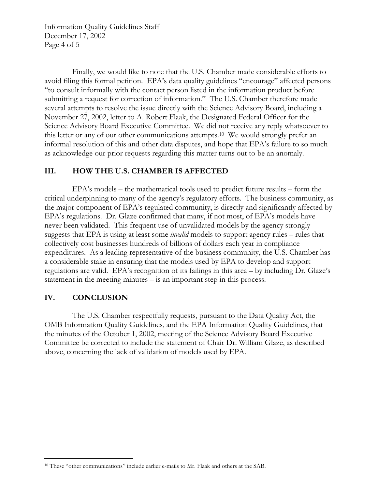Information Quality Guidelines Staff December 17, 2002 Page 4 of 5

Finally, we would like to note that the U.S. Chamber made considerable efforts to avoid filing this formal petition. EPA's data quality guidelines "encourage" affected persons "to consult informally with the contact person listed in the information product before submitting a request for correction of information." The U.S. Chamber therefore made several attempts to resolve the issue directly with the Science Advisory Board, including a November 27, 2002, letter to A. Robert Flaak, the Designated Federal Officer for the Science Advisory Board Executive Committee. We did not receive any reply whatsoever to this letter or any of our other communications [attempts.10](https://attempts.10) We would strongly prefer an informal resolution of this and other data disputes, and hope that EPA's failure to so much as acknowledge our prior requests regarding this matter turns out to be an anomaly.

### **III. HOW THE U.S. CHAMBER IS AFFECTED**

EPA's models – the mathematical tools used to predict future results – form the critical underpinning to many of the agency's regulatory efforts. The business community, as the major component of EPA's regulated community, is directly and significantly affected by EPA's regulations. Dr. Glaze confirmed that many, if not most, of EPA's models have never been validated. This frequent use of unvalidated models by the agency strongly suggests that EPA is using at least some *invalid* models to support agency rules – rules that collectively cost businesses hundreds of billions of dollars each year in compliance expenditures. As a leading representative of the business community, the U.S. Chamber has a considerable stake in ensuring that the models used by EPA to develop and support regulations are valid. EPA's recognition of its failings in this area – by including Dr. Glaze's statement in the meeting minutes – is an important step in this process.

### **IV. CONCLUSION**

The U.S. Chamber respectfully requests, pursuant to the Data Quality Act, the OMB Information Quality Guidelines, and the EPA Information Quality Guidelines, that the minutes of the October 1, 2002, meeting of the Science Advisory Board Executive Committee be corrected to include the statement of Chair Dr. William Glaze, as described above, concerning the lack of validation of models used by EPA.

 $\overline{a}$ 10 These "other communications" include earlier e-mails to Mr. Flaak and others at the SAB.